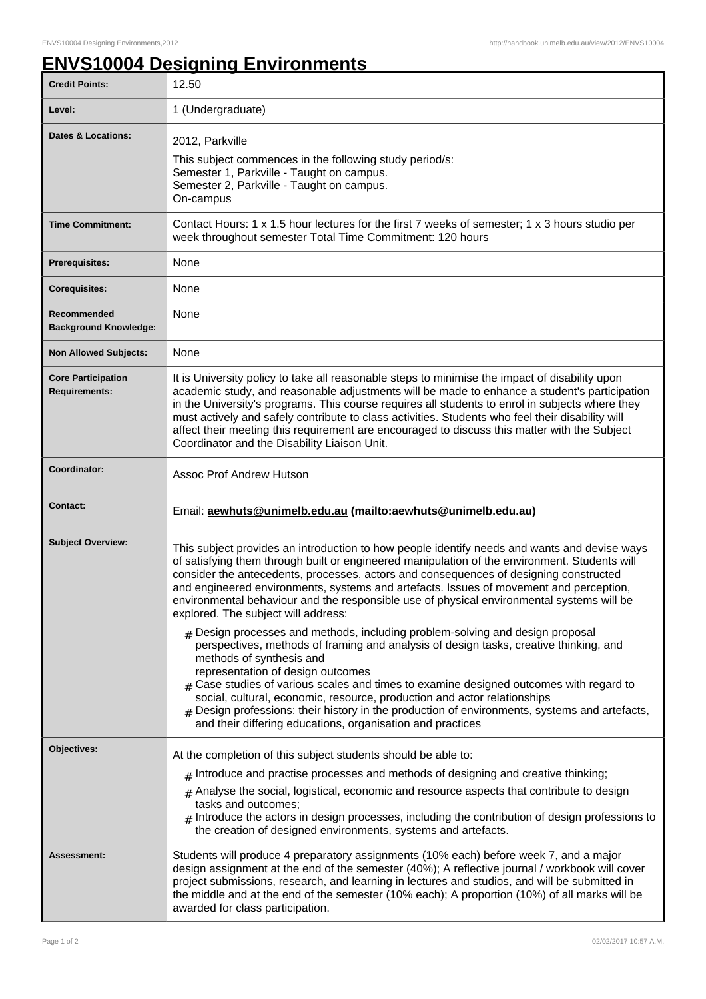## **ENVS10004 Designing Environments**

| <b>Credit Points:</b>                             | 12.50                                                                                                                                                                                                                                                                                                                                                                                                                                                                                                                                                 |
|---------------------------------------------------|-------------------------------------------------------------------------------------------------------------------------------------------------------------------------------------------------------------------------------------------------------------------------------------------------------------------------------------------------------------------------------------------------------------------------------------------------------------------------------------------------------------------------------------------------------|
| Level:                                            | 1 (Undergraduate)                                                                                                                                                                                                                                                                                                                                                                                                                                                                                                                                     |
| <b>Dates &amp; Locations:</b>                     | 2012, Parkville<br>This subject commences in the following study period/s:<br>Semester 1, Parkville - Taught on campus.<br>Semester 2, Parkville - Taught on campus.<br>On-campus                                                                                                                                                                                                                                                                                                                                                                     |
| <b>Time Commitment:</b>                           | Contact Hours: 1 x 1.5 hour lectures for the first 7 weeks of semester; 1 x 3 hours studio per<br>week throughout semester Total Time Commitment: 120 hours                                                                                                                                                                                                                                                                                                                                                                                           |
| <b>Prerequisites:</b>                             | None                                                                                                                                                                                                                                                                                                                                                                                                                                                                                                                                                  |
| <b>Corequisites:</b>                              | None                                                                                                                                                                                                                                                                                                                                                                                                                                                                                                                                                  |
| Recommended<br><b>Background Knowledge:</b>       | None                                                                                                                                                                                                                                                                                                                                                                                                                                                                                                                                                  |
| <b>Non Allowed Subjects:</b>                      | None                                                                                                                                                                                                                                                                                                                                                                                                                                                                                                                                                  |
| <b>Core Participation</b><br><b>Requirements:</b> | It is University policy to take all reasonable steps to minimise the impact of disability upon<br>academic study, and reasonable adjustments will be made to enhance a student's participation<br>in the University's programs. This course requires all students to enrol in subjects where they<br>must actively and safely contribute to class activities. Students who feel their disability will<br>affect their meeting this requirement are encouraged to discuss this matter with the Subject<br>Coordinator and the Disability Liaison Unit. |
| Coordinator:                                      | <b>Assoc Prof Andrew Hutson</b>                                                                                                                                                                                                                                                                                                                                                                                                                                                                                                                       |
| <b>Contact:</b>                                   | Email: aewhuts@unimelb.edu.au (mailto:aewhuts@unimelb.edu.au)                                                                                                                                                                                                                                                                                                                                                                                                                                                                                         |
| <b>Subject Overview:</b>                          | This subject provides an introduction to how people identify needs and wants and devise ways<br>of satisfying them through built or engineered manipulation of the environment. Students will<br>consider the antecedents, processes, actors and consequences of designing constructed<br>and engineered environments, systems and artefacts. Issues of movement and perception,<br>environmental behaviour and the responsible use of physical environmental systems will be<br>explored. The subject will address:                                  |
|                                                   | $_{\#}$ Design processes and methods, including problem-solving and design proposal<br>perspectives, methods of framing and analysis of design tasks, creative thinking, and                                                                                                                                                                                                                                                                                                                                                                          |
|                                                   | methods of synthesis and<br>representation of design outcomes<br>$_{\#}$ Case studies of various scales and times to examine designed outcomes with regard to<br>social, cultural, economic, resource, production and actor relationships<br>Design professions: their history in the production of environments, systems and artefacts,<br>and their differing educations, organisation and practices                                                                                                                                                |
| Objectives:                                       | At the completion of this subject students should be able to:                                                                                                                                                                                                                                                                                                                                                                                                                                                                                         |
|                                                   | $#$ Introduce and practise processes and methods of designing and creative thinking;<br>$_{\text{\#}}$ Analyse the social, logistical, economic and resource aspects that contribute to design<br>tasks and outcomes;<br>Introduce the actors in design processes, including the contribution of design professions to<br>the creation of designed environments, systems and artefacts.                                                                                                                                                               |